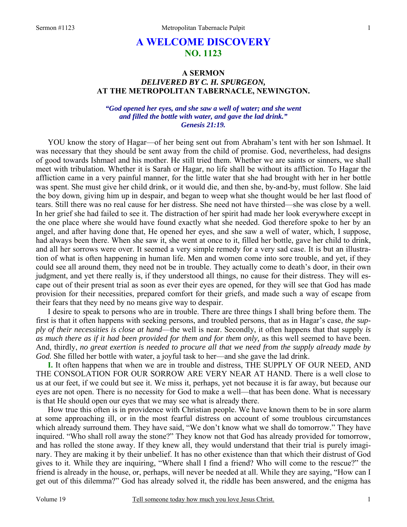# **A WELCOME DISCOVERY NO. 1123**

### **A SERMON**  *DELIVERED BY C. H. SPURGEON,*  **AT THE METROPOLITAN TABERNACLE, NEWINGTON.**

*"God opened her eyes, and she saw a well of water; and she went and filled the bottle with water, and gave the lad drink." Genesis 21:19.* 

YOU know the story of Hagar—of her being sent out from Abraham's tent with her son Ishmael. It was necessary that they should be sent away from the child of promise. God, nevertheless, had designs of good towards Ishmael and his mother. He still tried them. Whether we are saints or sinners, we shall meet with tribulation. Whether it is Sarah or Hagar, no life shall be without its affliction. To Hagar the affliction came in a very painful manner, for the little water that she had brought with her in her bottle was spent. She must give her child drink, or it would die, and then she, by-and-by, must follow. She laid the boy down, giving him up in despair, and began to weep what she thought would be her last flood of tears. Still there was no real cause for her distress. She need not have thirsted—she was close by a well. In her grief she had failed to see it. The distraction of her spirit had made her look everywhere except in the one place where she would have found exactly what she needed. God therefore spoke to her by an angel, and after having done that, He opened her eyes, and she saw a well of water, which, I suppose, had always been there. When she saw it, she went at once to it, filled her bottle, gave her child to drink, and all her sorrows were over. It seemed a very simple remedy for a very sad case. It is but an illustration of what is often happening in human life. Men and women come into sore trouble, and yet, if they could see all around them, they need not be in trouble. They actually come to death's door, in their own judgment, and yet there really is, if they understood all things, no cause for their distress. They will escape out of their present trial as soon as ever their eyes are opened, for they will see that God has made provision for their necessities, prepared comfort for their griefs, and made such a way of escape from their fears that they need by no means give way to despair.

I desire to speak to persons who are in trouble. There are three things I shall bring before them. The first is that it often happens with seeking persons, and troubled persons, that as in Hagar's case, *the supply of their necessities is close at hand*—the well is near. Secondly, it often happens that that supply *is as much there as if it had been provided for them and for them only,* as this well seemed to have been. And, thirdly, *no great exertion is needed to procure all that we need from the supply already made by God.* She filled her bottle with water, a joyful task to her—and she gave the lad drink.

**I.** It often happens that when we are in trouble and distress, THE SUPPLY OF OUR NEED, AND THE CONSOLATION FOR OUR SORROW ARE VERY NEAR AT HAND. There is a well close to us at our feet, if we could but see it. We miss it, perhaps, yet not because it is far away, but because our eyes are not open. There is no necessity for God to make a well—that has been done. What is necessary is that He should open our eyes that we may see what is already there.

How true this often is in providence with Christian people. We have known them to be in sore alarm at some approaching ill, or in the most fearful distress on account of some troublous circumstances which already surround them. They have said, "We don't know what we shall do tomorrow." They have inquired. "Who shall roll away the stone?" They know not that God has already provided for tomorrow, and has rolled the stone away. If they knew all, they would understand that their trial is purely imaginary. They are making it by their unbelief. It has no other existence than that which their distrust of God gives to it. While they are inquiring, "Where shall I find a friend? Who will come to the rescue?" the friend is already in the house, or, perhaps, will never be needed at all. While they are saying, "How can I get out of this dilemma?" God has already solved it, the riddle has been answered, and the enigma has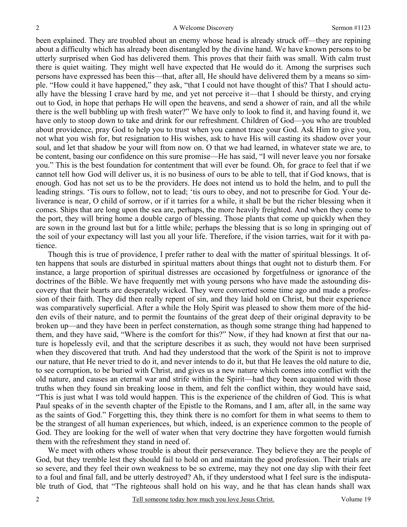been explained. They are troubled about an enemy whose head is already struck off—they are repining about a difficulty which has already been disentangled by the divine hand. We have known persons to be utterly surprised when God has delivered them. This proves that their faith was small. With calm trust there is quiet waiting. They might well have expected that He would do it. Among the surprises such persons have expressed has been this—that, after all, He should have delivered them by a means so simple. "How could it have happened," they ask, "that I could not have thought of this? That I should actually have the blessing I crave hard by me, and yet not perceive it—that I should be thirsty, and crying out to God, in hope that perhaps He will open the heavens, and send a shower of rain, and all the while there is the well bubbling up with fresh water?" We have only to look to find it, and having found it, we have only to stoop down to take and drink for our refreshment. Children of God—you who are troubled about providence, pray God to help you to trust when you cannot trace your God. Ask Him to give you, not what you wish for, but resignation to His wishes, ask to have His will casting its shadow over your soul, and let that shadow be your will from now on. O that we had learned, in whatever state we are, to be content, basing our confidence on this sure promise—He has said, "I will never leave you nor forsake you." This is the best foundation for contentment that will ever be found. Oh, for grace to feel that if we cannot tell how God will deliver us, it is no business of ours to be able to tell, that if God knows, that is enough. God has not set us to be the providers. He does not intend us to hold the helm, and to pull the leading strings. 'Tis ours to follow, not to lead; 'tis ours to obey, and not to prescribe for God. Your deliverance is near, O child of sorrow, or if it tarries for a while, it shall be but the richer blessing when it comes. Ships that are long upon the sea are, perhaps, the more heavily freighted. And when they come to the port, they will bring home a double cargo of blessing. Those plants that come up quickly when they are sown in the ground last but for a little while; perhaps the blessing that is so long in springing out of the soil of your expectancy will last you all your life. Therefore, if the vision tarries, wait for it with patience.

Though this is true of providence, I prefer rather to deal with the matter of spiritual blessings. It often happens that souls are disturbed in spiritual matters about things that ought not to disturb them. For instance, a large proportion of spiritual distresses are occasioned by forgetfulness or ignorance of the doctrines of the Bible. We have frequently met with young persons who have made the astounding discovery that their hearts are desperately wicked. They were converted some time ago and made a profession of their faith. They did then really repent of sin, and they laid hold on Christ, but their experience was comparatively superficial. After a while the Holy Spirit was pleased to show them more of the hidden evils of their nature, and to permit the fountains of the great deep of their original depravity to be broken up—and they have been in perfect consternation, as though some strange thing had happened to them, and they have said, "Where is the comfort for this?" Now, if they had known at first that our nature is hopelessly evil, and that the scripture describes it as such, they would not have been surprised when they discovered that truth. And had they understood that the work of the Spirit is not to improve our nature, that He never tried to do it, and never intends to do it, but that He leaves the old nature to die, to see corruption, to be buried with Christ, and gives us a new nature which comes into conflict with the old nature, and causes an eternal war and strife within the Spirit—had they been acquainted with those truths when they found sin breaking loose in them, and felt the conflict within, they would have said, "This is just what I was told would happen. This is the experience of the children of God. This is what Paul speaks of in the seventh chapter of the Epistle to the Romans, and I am, after all, in the same way as the saints of God." Forgetting this, they think there is no comfort for them in what seems to them to be the strangest of all human experiences, but which, indeed, is an experience common to the people of God. They are looking for the well of water when that very doctrine they have forgotten would furnish them with the refreshment they stand in need of.

We meet with others whose trouble is about their perseverance. They believe they are the people of God, but they tremble lest they should fail to hold on and maintain the good profession. Their trials are so severe, and they feel their own weakness to be so extreme, may they not one day slip with their feet to a foul and final fall, and be utterly destroyed? Ah, if they understood what I feel sure is the indisputable truth of God, that "The righteous shall hold on his way, and he that has clean hands shall wax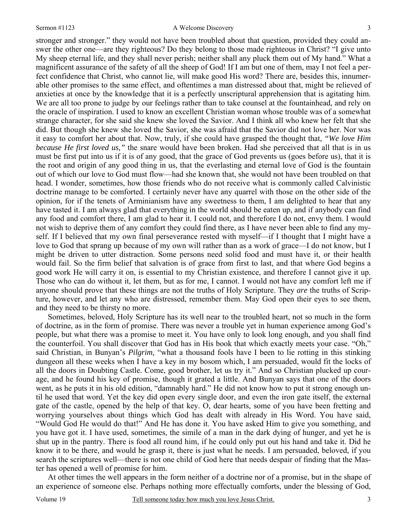#### Sermon #1123 A Welcome Discovery

stronger and stronger." they would not have been troubled about that question, provided they could answer the other one—are they righteous? Do they belong to those made righteous in Christ? "I give unto My sheep eternal life, and they shall never perish; neither shall any pluck them out of My hand." What a magnificent assurance of the safety of all the sheep of God! If I am but one of them, may I not feel a perfect confidence that Christ, who cannot lie, will make good His word? There are, besides this, innumerable other promises to the same effect, and oftentimes a man distressed about that, might be relieved of anxieties at once by the knowledge that it is a perfectly unscriptural apprehension that is agitating him. We are all too prone to judge by our feelings rather than to take counsel at the fountainhead, and rely on the oracle of inspiration. I used to know an excellent Christian woman whose trouble was of a somewhat strange character, for she said she knew she loved the Savior. And I think all who knew her felt that she did. But though she knew she loved the Savior, she was afraid that the Savior did not love her. Nor was it easy to comfort her about that. Now, truly, if she could have grasped the thought that, *"We love Him because He first loved us,"* the snare would have been broken. Had she perceived that all that is in us must be first put into us if it is of any good, that the grace of God prevents us (goes before us), that it is the root and origin of any good thing in us, that the everlasting and eternal love of God is the fountain out of which our love to God must flow—had she known that, she would not have been troubled on that head. I wonder, sometimes, how those friends who do not receive what is commonly called Calvinistic doctrine manage to be comforted. I certainly never have any quarrel with those on the other side of the opinion, for if the tenets of Arminianism have any sweetness to them, I am delighted to hear that any have tasted it. I am always glad that everything in the world should be eaten up, and if anybody can find any food and comfort there, I am glad to hear it. I could not, and therefore I do not, envy them. I would not wish to deprive them of any comfort they could find there, as I have never been able to find any myself. If I believed that my own final perseverance rested with myself—if I thought that I might have a love to God that sprang up because of my own will rather than as a work of grace—I do not know, but I might be driven to utter distraction. Some persons need solid food and must have it, or their health would fail. So the firm belief that salvation is of grace from first to last, and that where God begins a good work He will carry it on, is essential to my Christian existence, and therefore I cannot give it up. Those who can do without it, let them, but as for me, I cannot. I would not have any comfort left me if anyone should prove that these things are not the truths of Holy Scripture. They *are* the truths of Scripture, however, and let any who are distressed, remember them. May God open their eyes to see them, and they need to be thirsty no more.

Sometimes, beloved, Holy Scripture has its well near to the troubled heart, not so much in the form of doctrine, as in the form of promise. There was never a trouble yet in human experience among God's people, but what there was a promise to meet it. You have only to look long enough, and you shall find the counterfoil. You shall discover that God has in His book that which exactly meets your case. "Oh," said Christian, in Bunyan's *Pilgrim,* "what a thousand fools have I been to lie rotting in this stinking dungeon all these weeks when I have a key in my bosom which, I am persuaded, would fit the locks of all the doors in Doubting Castle. Come, good brother, let us try it." And so Christian plucked up courage, and he found his key of promise, though it grated a little. And Bunyan says that one of the doors went, as he puts it in his old edition, "damnably hard." He did not know how to put it strong enough until he used that word. Yet the key did open every single door, and even the iron gate itself, the external gate of the castle, opened by the help of that key. O, dear hearts, some of you have been fretting and worrying yourselves about things which God has dealt with already in His Word. You have said, "Would God He would do that!" And He has done it. You have asked Him to give you something, and you have got it. I have used, sometimes, the simile of a man in the dark dying of hunger, and yet he is shut up in the pantry. There is food all round him, if he could only put out his hand and take it. Did he know it to be there, and would he grasp it, there is just what he needs. I am persuaded, beloved, if you search the scriptures well—there is not one child of God here that needs despair of finding that the Master has opened a well of promise for him.

At other times the well appears in the form neither of a doctrine nor of a promise, but in the shape of an experience of someone else. Perhaps nothing more effectually comforts, under the blessing of God,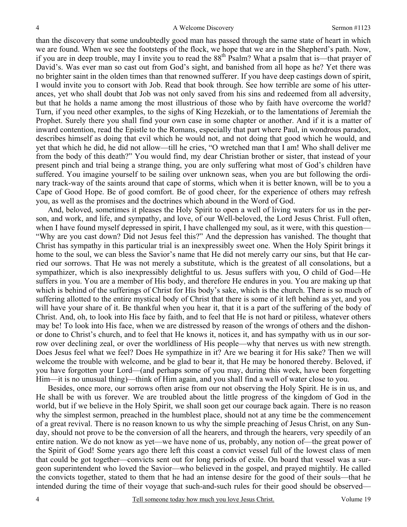than the discovery that some undoubtedly good man has passed through the same state of heart in which we are found. When we see the footsteps of the flock, we hope that we are in the Shepherd's path. Now, if you are in deep trouble, may I invite you to read the 88<sup>th</sup> Psalm? What a psalm that is—that prayer of David's. Was ever man so cast out from God's sight, and banished from all hope as he? Yet there was no brighter saint in the olden times than that renowned sufferer. If you have deep castings down of spirit, I would invite you to consort with Job. Read that book through. See how terrible are some of his utterances, yet who shall doubt that Job was not only saved from his sins and redeemed from all adversity, but that he holds a name among the most illustrious of those who by faith have overcome the world? Turn, if you need other examples, to the sighs of King Hezekiah, or to the lamentations of Jeremiah the Prophet. Surely there you shall find your own case in some chapter or another. And if it is a matter of inward contention, read the Epistle to the Romans, especially that part where Paul, in wondrous paradox, describes himself as doing that evil which he would not, and not doing that good which he would, and yet that which he did, he did not allow—till he cries, "O wretched man that I am! Who shall deliver me from the body of this death?" You would find, my dear Christian brother or sister, that instead of your present pinch and trial being a strange thing, you are only suffering what most of God's children have suffered. You imagine yourself to be sailing over unknown seas, when you are but following the ordinary track-way of the saints around that cape of storms, which when it is better known, will be to you a Cape of Good Hope. Be of good comfort. Be of good cheer, for the experience of others may refresh you, as well as the promises and the doctrines which abound in the Word of God.

And, beloved, sometimes it pleases the Holy Spirit to open a well of living waters for us in the person, and work, and life, and sympathy, and love, of our Well-beloved, the Lord Jesus Christ. Full often, when I have found myself depressed in spirit, I have challenged my soul, as it were, with this question— "Why are you cast down? Did not Jesus feel this?" And the depression has vanished. The thought that Christ has sympathy in this particular trial is an inexpressibly sweet one. When the Holy Spirit brings it home to the soul, we can bless the Savior's name that He did not merely carry our sins, but that He carried our sorrows. That He was not merely a substitute, which is the greatest of all consolations, but a sympathizer, which is also inexpressibly delightful to us. Jesus suffers with you, O child of God—He suffers in you. You are a member of His body, and therefore He endures in you. You are making up that which is behind of the sufferings of Christ for His body's sake, which is the church. There is so much of suffering allotted to the entire mystical body of Christ that there is some of it left behind as yet, and you will have your share of it. Be thankful when you hear it, that it is a part of the suffering of the body of Christ. And, oh, to look into His face by faith, and to feel that He is not hard or pitiless, whatever others may be! To look into His face, when we are distressed by reason of the wrongs of others and the dishonor done to Christ's church, and to feel that He knows it, notices it, and has sympathy with us in our sorrow over declining zeal, or over the worldliness of His people—why that nerves us with new strength. Does Jesus feel what we feel? Does He sympathize in it? Are we bearing it for His sake? Then we will welcome the trouble with welcome, and be glad to bear it, that He may be honored thereby. Beloved, if you have forgotten your Lord—(and perhaps some of you may, during this week, have been forgetting Him—it is no unusual thing)—think of Him again, and you shall find a well of water close to you.

Besides, once more, our sorrows often arise from our not observing the Holy Spirit. He is in us, and He shall be with us forever. We are troubled about the little progress of the kingdom of God in the world, but if we believe in the Holy Spirit, we shall soon get our courage back again. There is no reason why the simplest sermon, preached in the humblest place, should not at any time be the commencement of a great revival. There is no reason known to us why the simple preaching of Jesus Christ, on any Sunday, should not prove to be the conversion of all the hearers, and through the hearers, very speedily of an entire nation. We do not know as yet—we have none of us, probably, any notion of—the great power of the Spirit of God! Some years ago there left this coast a convict vessel full of the lowest class of men that could be got together—convicts sent out for long periods of exile. On board that vessel was a surgeon superintendent who loved the Savior—who believed in the gospel, and prayed mightily. He called the convicts together, stated to them that he had an intense desire for the good of their souls—that he intended during the time of their voyage that such-and-such rules for their good should be observed—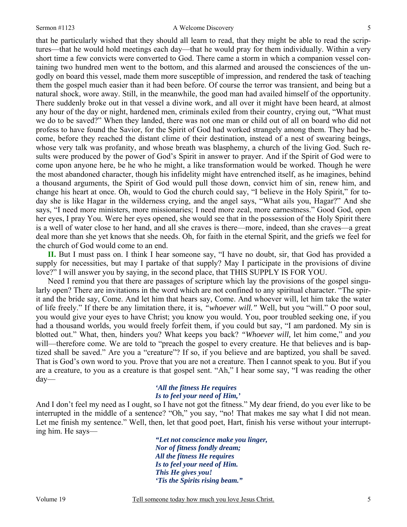#### Sermon #1123 A Welcome Discovery

that he particularly wished that they should all learn to read, that they might be able to read the scriptures—that he would hold meetings each day—that he would pray for them individually. Within a very short time a few convicts were converted to God. There came a storm in which a companion vessel containing two hundred men went to the bottom, and this alarmed and aroused the consciences of the ungodly on board this vessel, made them more susceptible of impression, and rendered the task of teaching them the gospel much easier than it had been before. Of course the terror was transient, and being but a natural shock, wore away. Still, in the meanwhile, the good man had availed himself of the opportunity. There suddenly broke out in that vessel a divine work, and all over it might have been heard, at almost any hour of the day or night, hardened men, criminals exiled from their country, crying out, "What must we do to be saved?" When they landed, there was not one man or child out of all on board who did not profess to have found the Savior, for the Spirit of God had worked strangely among them. They had become, before they reached the distant clime of their destination, instead of a nest of swearing beings, whose very talk was profanity, and whose breath was blasphemy, a church of the living God. Such results were produced by the power of God's Spirit in answer to prayer. And if the Spirit of God were to come upon anyone here, be he who he might, a like transformation would be worked. Though he were the most abandoned character, though his infidelity might have entrenched itself, as he imagines, behind a thousand arguments, the Spirit of God would pull those down, convict him of sin, renew him, and change his heart at once. Oh, would to God the church could say, "I believe in the Holy Spirit," for today she is like Hagar in the wilderness crying, and the angel says, "What ails you, Hagar?" And she says, "I need more ministers, more missionaries; I need more zeal, more earnestness." Good God, open her eyes, I pray You. Were her eyes opened, she would see that in the possession of the Holy Spirit there is a well of water close to her hand, and all she craves is there—more, indeed, than she craves—a great deal more than she yet knows that she needs. Oh, for faith in the eternal Spirit, and the griefs we feel for the church of God would come to an end.

**II.** But I must pass on. I think I hear someone say, "I have no doubt, sir, that God has provided a supply for necessities, but may I partake of that supply? May I participate in the provisions of divine love?" I will answer you by saying, in the second place, that THIS SUPPLY IS FOR YOU.

Need I remind you that there are passages of scripture which lay the provisions of the gospel singularly open? There are invitations in the word which are not confined to any spiritual character. "The spirit and the bride say, Come. And let him that hears say, Come. And whoever will, let him take the water of life freely." If there be any limitation there, it is, *"whoever will."* Well, but you "will." O poor soul, you would give your eyes to have Christ; you know you would. You, poor troubled seeking one, if you had a thousand worlds, you would freely forfeit them, if you could but say, "I am pardoned. My sin is blotted out." What, then, hinders you? What keeps you back? *"Whoever will,* let him come," and *you* will—therefore come. We are told to "preach the gospel to every creature. He that believes and is baptized shall be saved." Are you a "creature"? If so, if you believe and are baptized, you shall be saved. That is God's own word to you. Prove that you are not a creature. Then I cannot speak to you. But if you are a creature, to you as a creature is that gospel sent. "Ah," I hear some say, "I was reading the other day—

### *'All the fitness He requires Is to feel your need of Him,'*

And I don't feel my need as I ought, so I have not got the fitness." My dear friend, do you ever like to be interrupted in the middle of a sentence? "Oh," you say, "no! That makes me say what I did not mean. Let me finish my sentence." Well, then, let that good poet, Hart, finish his verse without your interrupting him. He says—

> *"Let not conscience make you linger, Nor of fitness fondly dream; All the fitness He requires Is to feel your need of Him. This He gives you! 'Tis the Spirits rising beam."*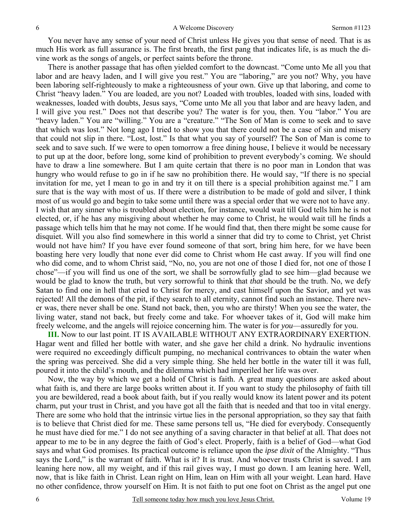You never have any sense of your need of Christ unless He gives you that sense of need. That is as much His work as full assurance is. The first breath, the first pang that indicates life, is as much the divine work as the songs of angels, or perfect saints before the throne.

 There is another passage that has often yielded comfort to the downcast. "Come unto Me all you that labor and are heavy laden, and I will give you rest." You are "laboring," are you not? Why, you have been laboring self-righteously to make a righteousness of your own. Give up that laboring, and come to Christ "heavy laden." You are loaded, are you not? Loaded with troubles, loaded with sins, loaded with weaknesses, loaded with doubts, Jesus says, "Come unto Me all you that labor and are heavy laden, and I will give you rest." Does not that describe you? The water is for you, then. You "labor." You are "heavy laden." You are "willing." You are a "creature." "The Son of Man is come to seek and to save that which was lost." Not long ago I tried to show you that there could not be a case of sin and misery that could not slip in there. "Lost, lost." Is that what you say of yourself? The Son of Man is come to seek and to save such. If we were to open tomorrow a free dining house, I believe it would be necessary to put up at the door, before long, some kind of prohibition to prevent everybody's coming. We should have to draw a line somewhere. But I am quite certain that there is no poor man in London that was hungry who would refuse to go in if he saw no prohibition there. He would say, "If there is no special invitation for me, yet I mean to go in and try it on till there is a special prohibition against me." I am sure that is the way with most of us. If there were a distribution to be made of gold and silver, I think most of us would go and begin to take some until there was a special order that we were not to have any. I wish that any sinner who is troubled about election, for instance, would wait till God tells him he is not elected, or, if he has any misgiving about whether he may come to Christ, he would wait till he finds a passage which tells him that he may not come. If he would find that, then there might be some cause for disquiet. Will you also find somewhere in this world a sinner that did try to come to Christ, yet Christ would not have him? If you have ever found someone of that sort, bring him here, for we have been boasting here very loudly that none ever did come to Christ whom He cast away. If you will find one who did come, and to whom Christ said, "No, no, you are not one of those I died for, not one of those I chose"—if you will find us one of the sort, we shall be sorrowfully glad to see him—glad because we would be glad to know the truth, but very sorrowful to think that *that* should be the truth. No, we defy Satan to find one in hell that cried to Christ for mercy, and cast himself upon the Savior, and yet was rejected! All the demons of the pit, if they search to all eternity, cannot find such an instance. There never was, there never shall be one. Stand not back, then, you who are thirsty! When you see the water, the living water, stand not back, but freely come and take. For whoever takes of it, God will make him freely welcome, and the angels will rejoice concerning him. The water is for *you*—assuredly for you.

**III.** Now to our last point. IT IS AVAILABLE WITHOUT ANY EXTRAORDINARY EXERTION. Hagar went and filled her bottle with water, and she gave her child a drink. No hydraulic inventions were required no exceedingly difficult pumping, no mechanical contrivances to obtain the water when the spring was perceived. She did a very simple thing. She held her bottle in the water till it was full, poured it into the child's mouth, and the dilemma which had imperiled her life was over.

Now, the way by which we get a hold of Christ is faith. A great many questions are asked about what faith is, and there are large books written about it. If you want to study the philosophy of faith till you are bewildered, read a book about faith, but if you really would know its latent power and its potent charm, put your trust in Christ, and you have got all the faith that is needed and that too in vital energy. There are some who hold that the intrinsic virtue lies in the personal appropriation, so they say that faith is to believe that Christ died for me. These same persons tell us, "He died for everybody. Consequently he must have died for me." I do not see anything of a saving character in that belief at all. That does not appear to me to be in any degree the faith of God's elect. Properly, faith is a belief of God—what God says and what God promises. Its practical outcome is reliance upon the *ipse dixit* of the Almighty. "Thus says the Lord," is the warrant of faith. What is it? It is trust. And whoever trusts Christ is saved. I am leaning here now, all my weight, and if this rail gives way, I must go down. I am leaning here. Well, now, that is like faith in Christ. Lean right on Him, lean on Him with all your weight. Lean hard. Have no other confidence, throw yourself on Him. It is not faith to put one foot on Christ as the angel put one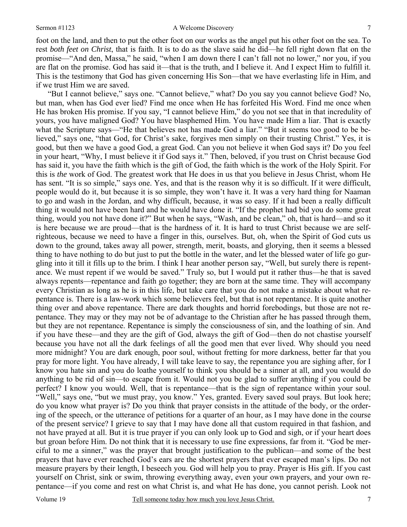foot on the land, and then to put the other foot on our works as the angel put his other foot on the sea. To rest *both feet on Christ*, that is faith. It is to do as the slave said he did—he fell right down flat on the promise—"And den, Massa," he said, "when I am down there I can't fall not no lower," nor you, if you are flat on the promise. God has said it—that is the truth, and I believe it. And I expect Him to fulfill it. This is the testimony that God has given concerning His Son—that we have everlasting life in Him, and if we trust Him we are saved.

"But I cannot believe," says one. "Cannot believe," what? Do you say you cannot believe God? No, but man, when has God ever lied? Find me once when He has forfeited His Word. Find me once when He has broken His promise. If you say, "I cannot believe Him," do you not see that in that incredulity of yours, you have maligned God? You have blasphemed Him. You have made Him a liar. That is exactly what the Scripture says—"He that believes not has made God a liar." "But it seems too good to be believed," says one, "that God, for Christ's sake, forgives men simply on their trusting Christ." Yes, it is good, but then we have a good God, a great God. Can you not believe it when God says it? Do you feel in your heart, "Why, I must believe it if God says it." Then, beloved, if you trust on Christ because God has said it, you have the faith which is the gift of God, the faith which is the work of the Holy Spirit. For this is *the* work of God. The greatest work that He does in us that you believe in Jesus Christ, whom He has sent. "It is so simple," says one. Yes, and that is the reason why it is so difficult. If it were difficult, people would do it, but because it is so simple, they won't have it. It was a very hard thing for Naaman to go and wash in the Jordan, and why difficult, because, it was so easy. If it had been a really difficult thing it would not have been hard and he would have done it. "If the prophet had bid you do some great thing, would you not have done it?" But when he says, "Wash, and be clean," oh, that is hard—and so it is here because we are proud—that is the hardness of it. It is hard to trust Christ because we are selfrighteous, because we need to have a finger in this, ourselves. But, oh, when the Spirit of God cuts us down to the ground, takes away all power, strength, merit, boasts, and glorying, then it seems a blessed thing to have nothing to do but just to put the bottle in the water, and let the blessed water of life go gurgling into it till it fills up to the brim. I think I hear another person say, "Well, but surely there is repentance. We must repent if we would be saved." Truly so, but I would put it rather thus—he that is saved always repents—repentance and faith go together; they are born at the same time. They will accompany every Christian as long as he is in this life, but take care that you do not make a mistake about what repentance is. There is a law-work which some believers feel, but that is not repentance. It is quite another thing over and above repentance. There are dark thoughts and horrid forebodings, but those are not repentance. They may or they may not be of advantage to the Christian after he has passed through them, but they are not repentance. Repentance is simply the consciousness of sin, and the loathing of sin. And if you have these—and they are the gift of God, always the gift of God—then do not chastise yourself because you have not all the dark feelings of all the good men that ever lived. Why should you need more midnight? You are dark enough, poor soul, without fretting for more darkness, better far that you pray for more light. You have already, I will take leave to say, the repentance you are sighing after, for I know you hate sin and you do loathe yourself to think you should be a sinner at all, and you would do anything to be rid of sin—to escape from it. Would not you be glad to suffer anything if you could be perfect? I know you would. Well, that is repentance—that is the sign of repentance within your soul. "Well," says one, "but we must pray, you know." Yes, granted. Every saved soul prays. But look here; do you know what prayer is? Do you think that prayer consists in the attitude of the body, or the ordering of the speech, or the utterance of petitions for a quarter of an hour, as I may have done in the course of the present service? I grieve to say that I may have done all that custom required in that fashion, and not have prayed at all. But it is true prayer if you can only look up to God and sigh, or if your heart does but groan before Him. Do not think that it is necessary to use fine expressions, far from it. "God be merciful to me a sinner," was the prayer that brought justification to the publican—and some of the best prayers that have ever reached God's ears are the shortest prayers that ever escaped man's lips. Do not measure prayers by their length, I beseech you. God will help you to pray. Prayer is His gift. If you cast yourself on Christ, sink or swim, throwing everything away, even your own prayers, and your own repentance—if you come and rest on what Christ is, and what He has done, you cannot perish. Look not